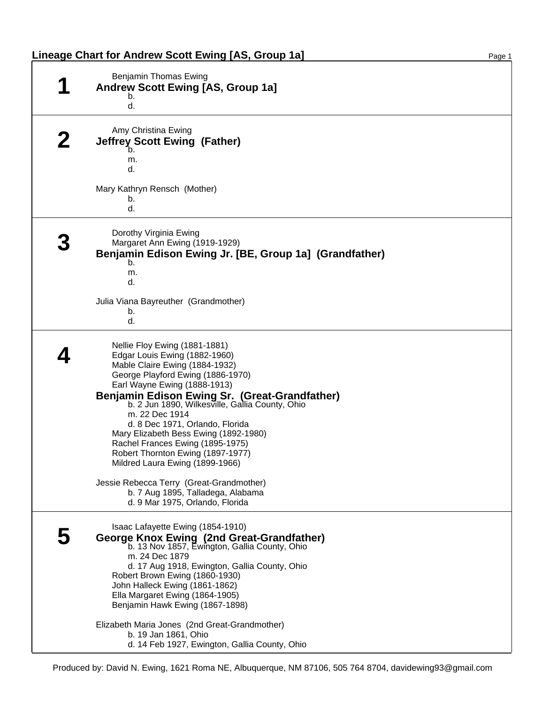| Lineage Chart for Andrew Scott Ewing [AS, Group 1a] | Page <sup>1</sup> |
|-----------------------------------------------------|-------------------|
|-----------------------------------------------------|-------------------|

| Benjamin Thomas Ewing<br>Andrew Scott Ewing [AS, Group 1a]<br>b.<br>d.                                                                                                                                                                                                                                                                                                                                                                                                                                                                                                                                  |
|---------------------------------------------------------------------------------------------------------------------------------------------------------------------------------------------------------------------------------------------------------------------------------------------------------------------------------------------------------------------------------------------------------------------------------------------------------------------------------------------------------------------------------------------------------------------------------------------------------|
| Amy Christina Ewing<br><b>Jeffrey Scott Ewing (Father)</b><br>b.<br>m.<br>d.<br>Mary Kathryn Rensch (Mother)<br>b.<br>d.                                                                                                                                                                                                                                                                                                                                                                                                                                                                                |
| Dorothy Virginia Ewing<br>Margaret Ann Ewing (1919-1929)<br>Benjamin Edison Ewing Jr. [BE, Group 1a] (Grandfather)<br>b.<br>m.<br>d.<br>Julia Viana Bayreuther (Grandmother)<br>b.<br>d.                                                                                                                                                                                                                                                                                                                                                                                                                |
| Nellie Floy Ewing (1881-1881)<br>Edgar Louis Ewing (1882-1960)<br>Mable Claire Ewing (1884-1932)<br>George Playford Ewing (1886-1970)<br>Earl Wayne Ewing (1888-1913)<br>Benjamin Edison Ewing Sr. (Great-Grandfather)<br>b. 2 Jun 1890, Wilkesville, Gallia County, Ohio<br>m. 22 Dec 1914<br>d. 8 Dec 1971, Orlando, Florida<br>Mary Elizabeth Bess Ewing (1892-1980)<br>Rachel Frances Ewing (1895-1975)<br>Robert Thornton Ewing (1897-1977)<br>Mildred Laura Ewing (1899-1966)<br>Jessie Rebecca Terry (Great-Grandmother)<br>b. 7 Aug 1895, Talladega, Alabama<br>d. 9 Mar 1975, Orlando, Florida |
| Isaac Lafayette Ewing (1854-1910)<br>George Knox Ewing (2nd Great-Grandfather)<br>b. 13 Nov 1857, Ewington, Gallia County, Ohio<br>m. 24 Dec 1879<br>d. 17 Aug 1918, Ewington, Gallia County, Ohio<br>Robert Brown Ewing (1860-1930)<br>John Halleck Ewing (1861-1862)<br>Ella Margaret Ewing (1864-1905)<br>Benjamin Hawk Ewing (1867-1898)<br>Elizabeth Maria Jones (2nd Great-Grandmother)<br>b. 19 Jan 1861, Ohio<br>d. 14 Feb 1927, Ewington, Gallia County, Ohio                                                                                                                                  |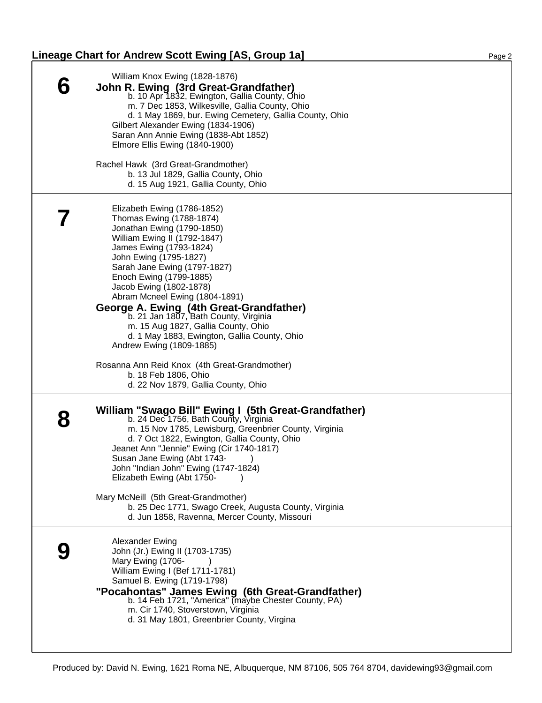## Lineage Chart for Andrew Scott Ewing [AS, Group 1a] Page 2 Page 2

| William Knox Ewing (1828-1876)<br>John R. Ewing (3rd Great-Grandfather)<br>b. 10 Apr 1832, Ewington, Gallia County, Ohio<br>m. 7 Dec 1853, Wilkesville, Gallia County, Ohio<br>d. 1 May 1869, bur. Ewing Cemetery, Gallia County, Ohio<br>Gilbert Alexander Ewing (1834-1906)<br>Saran Ann Annie Ewing (1838-Abt 1852)<br>Elmore Ellis Ewing (1840-1900)<br>Rachel Hawk (3rd Great-Grandmother)<br>b. 13 Jul 1829, Gallia County, Ohio                                                                    |
|-----------------------------------------------------------------------------------------------------------------------------------------------------------------------------------------------------------------------------------------------------------------------------------------------------------------------------------------------------------------------------------------------------------------------------------------------------------------------------------------------------------|
| d. 15 Aug 1921, Gallia County, Ohio                                                                                                                                                                                                                                                                                                                                                                                                                                                                       |
| Elizabeth Ewing (1786-1852)<br>Thomas Ewing (1788-1874)<br>Jonathan Ewing (1790-1850)<br>William Ewing II (1792-1847)<br>James Ewing (1793-1824)<br>John Ewing (1795-1827)<br>Sarah Jane Ewing (1797-1827)<br>Enoch Ewing (1799-1885)<br>Jacob Ewing (1802-1878)<br>Abram Mcneel Ewing (1804-1891)<br>George A. Ewing (4th Great-Grandfather)<br>b. 21 Jan 1807, Bath County, Virginia<br>m. 15 Aug 1827, Gallia County, Ohio<br>d. 1 May 1883, Ewington, Gallia County, Ohio<br>Andrew Ewing (1809-1885) |
| Rosanna Ann Reid Knox (4th Great-Grandmother)<br>b. 18 Feb 1806, Ohio<br>d. 22 Nov 1879, Gallia County, Ohio                                                                                                                                                                                                                                                                                                                                                                                              |
| William "Swago Bill" Ewing I (5th Great-Grandfather)<br>b. 24 Dec 1756, Bath County, Virginia<br>m. 15 Nov 1785, Lewisburg, Greenbrier County, Virginia<br>d. 7 Oct 1822, Ewington, Gallia County, Ohio<br>Jeanet Ann "Jennie" Ewing (Cir 1740-1817)<br>Susan Jane Ewing (Abt 1743-<br>$\rightarrow$<br>John "Indian John" Ewing (1747-1824)<br>Elizabeth Ewing (Abt 1750-                                                                                                                                |
| Mary McNeill (5th Great-Grandmother)<br>b. 25 Dec 1771, Swago Creek, Augusta County, Virginia<br>d. Jun 1858, Ravenna, Mercer County, Missouri                                                                                                                                                                                                                                                                                                                                                            |
| Alexander Ewing<br>John (Jr.) Ewing II (1703-1735)<br>Mary Ewing (1706-<br>William Ewing I (Bef 1711-1781)<br>Samuel B. Ewing (1719-1798)<br>"Pocahontas" James Ewing (6th Great-Grandfather)<br>b. 14 Feb 1721, "America" (maybe Chester County, PA)<br>m. Cir 1740, Stoverstown, Virginia<br>d. 31 May 1801, Greenbrier County, Virgina                                                                                                                                                                 |